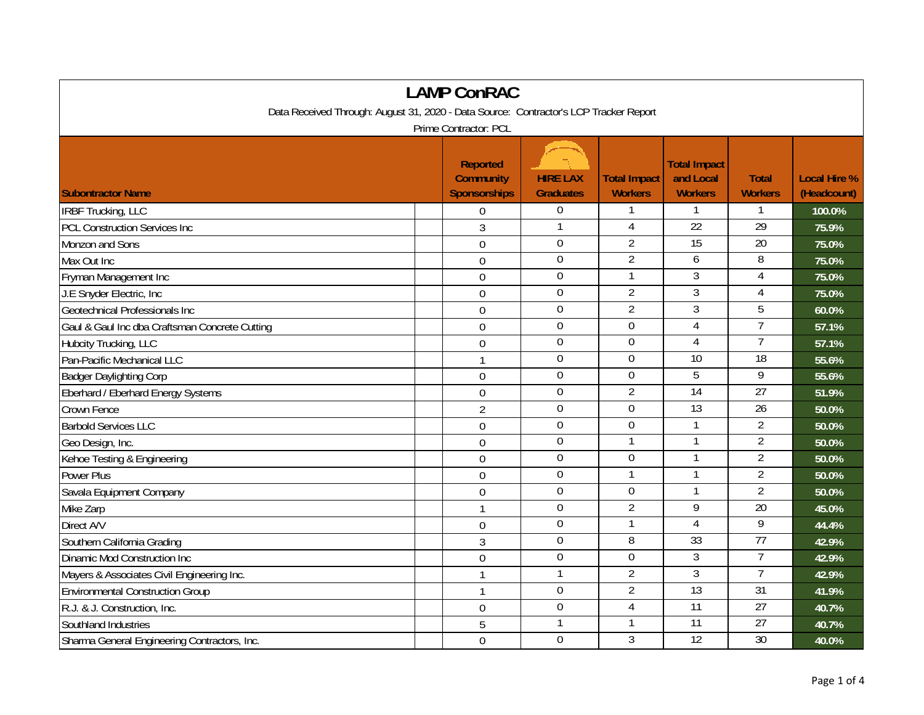| <b>LAMP ConRAC</b>                                                                    |  |                                                            |                                     |                                       |                                                    |                                |                                    |  |
|---------------------------------------------------------------------------------------|--|------------------------------------------------------------|-------------------------------------|---------------------------------------|----------------------------------------------------|--------------------------------|------------------------------------|--|
| Data Received Through: August 31, 2020 - Data Source: Contractor's LCP Tracker Report |  |                                                            |                                     |                                       |                                                    |                                |                                    |  |
| Prime Contractor: PCL                                                                 |  |                                                            |                                     |                                       |                                                    |                                |                                    |  |
| <b>Subontractor Name</b>                                                              |  | <b>Reported</b><br><b>Community</b><br><b>Sponsorships</b> | <b>HIRE LAX</b><br><b>Graduates</b> | <b>Total Impact</b><br><b>Workers</b> | <b>Total Impact</b><br>and Local<br><b>Workers</b> | <b>Total</b><br><b>Workers</b> | <b>Local Hire %</b><br>(Headcount) |  |
| <b>IRBF Trucking, LLC</b>                                                             |  | 0                                                          | $\boldsymbol{0}$                    | 1                                     | 1                                                  | 1                              | 100.0%                             |  |
| <b>PCL Construction Services Inc</b>                                                  |  | 3                                                          | $\mathbf{1}$                        | 4                                     | $\overline{22}$                                    | $\overline{29}$                | 75.9%                              |  |
| Monzon and Sons                                                                       |  | $\overline{0}$                                             | $\mathbf 0$                         | $\overline{2}$                        | 15                                                 | 20                             | 75.0%                              |  |
| Max Out Inc                                                                           |  | $\overline{0}$                                             | $\mathbf 0$                         | $\overline{2}$                        | 6                                                  | 8                              | 75.0%                              |  |
| Fryman Management Inc                                                                 |  | $\mathbf 0$                                                | $\overline{0}$                      | 1                                     | 3                                                  | 4                              | 75.0%                              |  |
| J.E Snyder Electric, Inc.                                                             |  | $\mathbf 0$                                                | $\boldsymbol{0}$                    | $\overline{2}$                        | $\overline{3}$                                     | 4                              | 75.0%                              |  |
| Geotechnical Professionals Inc                                                        |  | $\mathbf 0$                                                | $\boldsymbol{0}$                    | $\overline{2}$                        | $\overline{3}$                                     | 5                              | 60.0%                              |  |
| Gaul & Gaul Inc dba Craftsman Concrete Cutting                                        |  | $\mathbf 0$                                                | $\boldsymbol{0}$                    | $\mathbf 0$                           | $\overline{4}$                                     | $\overline{7}$                 | 57.1%                              |  |
| Hubcity Trucking, LLC                                                                 |  | $\overline{0}$                                             | $\boldsymbol{0}$                    | $\mathbf 0$                           | 4                                                  | $\overline{7}$                 | 57.1%                              |  |
| Pan-Pacific Mechanical LLC                                                            |  | $\mathbf{1}$                                               | $\mathbf 0$                         | $\overline{0}$                        | $\overline{10}$                                    | $\overline{18}$                | 55.6%                              |  |
| <b>Badger Daylighting Corp</b>                                                        |  | 0                                                          | $\mathbf 0$                         | $\mathbf 0$                           | 5                                                  | 9                              | 55.6%                              |  |
| Eberhard / Eberhard Energy Systems                                                    |  | $\overline{0}$                                             | $\mathbf 0$                         | $\overline{2}$                        | $\overline{14}$                                    | $\overline{27}$                | 51.9%                              |  |
| Crown Fence                                                                           |  | $\overline{2}$                                             | $\mathbf 0$                         | 0                                     | 13                                                 | 26                             | 50.0%                              |  |
| <b>Barbold Services LLC</b>                                                           |  | $\mathbf 0$                                                | $\boldsymbol{0}$                    | $\mathbf 0$                           | $\mathbf{1}$                                       | $\overline{2}$                 | 50.0%                              |  |
| Geo Design, Inc.                                                                      |  | $\overline{0}$                                             | $\mathbf 0$                         | $\mathbf{1}$                          |                                                    | $\overline{2}$                 | 50.0%                              |  |
| Kehoe Testing & Engineering                                                           |  | $\Omega$                                                   | $\mathbf 0$                         | $\mathbf 0$                           |                                                    | $\overline{2}$                 | 50.0%                              |  |
| Power Plus                                                                            |  | $\overline{0}$                                             | $\Omega$                            | 1                                     | $\mathbf{1}$                                       | $\overline{2}$                 | 50.0%                              |  |
| Savala Equipment Company                                                              |  | $\mathbf 0$                                                | $\boldsymbol{0}$                    | 0                                     | $\mathbf{1}$                                       | $\overline{2}$                 | 50.0%                              |  |
| Mike Zarp                                                                             |  | $\mathbf{1}$                                               | $\overline{0}$                      | $\overline{2}$                        | $\overline{9}$                                     | 20                             | 45.0%                              |  |
| Direct A/V                                                                            |  | $\mathbf 0$                                                | $\mathbf 0$                         | 1                                     | $\overline{4}$                                     | 9                              | 44.4%                              |  |
| Southern California Grading                                                           |  | 3                                                          | $\overline{0}$                      | 8                                     | 33                                                 | $\overline{77}$                | 42.9%                              |  |
| Dinamic Mod Construction Inc                                                          |  | $\overline{0}$                                             | $\mathbf 0$                         | $\mathbf 0$                           | $\mathfrak{Z}$                                     | $\overline{7}$                 | 42.9%                              |  |
| Mayers & Associates Civil Engineering Inc.                                            |  | $\mathbf{1}$                                               | $\mathbf{1}$                        | $\overline{2}$                        | $\overline{3}$                                     | $\overline{7}$                 | 42.9%                              |  |
| <b>Environmental Construction Group</b>                                               |  | 1                                                          | $\mathbf 0$                         | $\overline{2}$                        | 13                                                 | 31                             | 41.9%                              |  |
| R.J. & J. Construction, Inc.                                                          |  | $\mathbf 0$                                                | $\mathbf 0$                         | 4                                     | 11                                                 | 27                             | 40.7%                              |  |
| Southland Industries                                                                  |  | 5                                                          | $\overline{1}$                      | 1                                     | $\overline{11}$                                    | 27                             | 40.7%                              |  |
| Sharma General Engineering Contractors, Inc.                                          |  | $\mathbf 0$                                                | $\mathbf 0$                         | 3                                     | 12                                                 | $\overline{30}$                | 40.0%                              |  |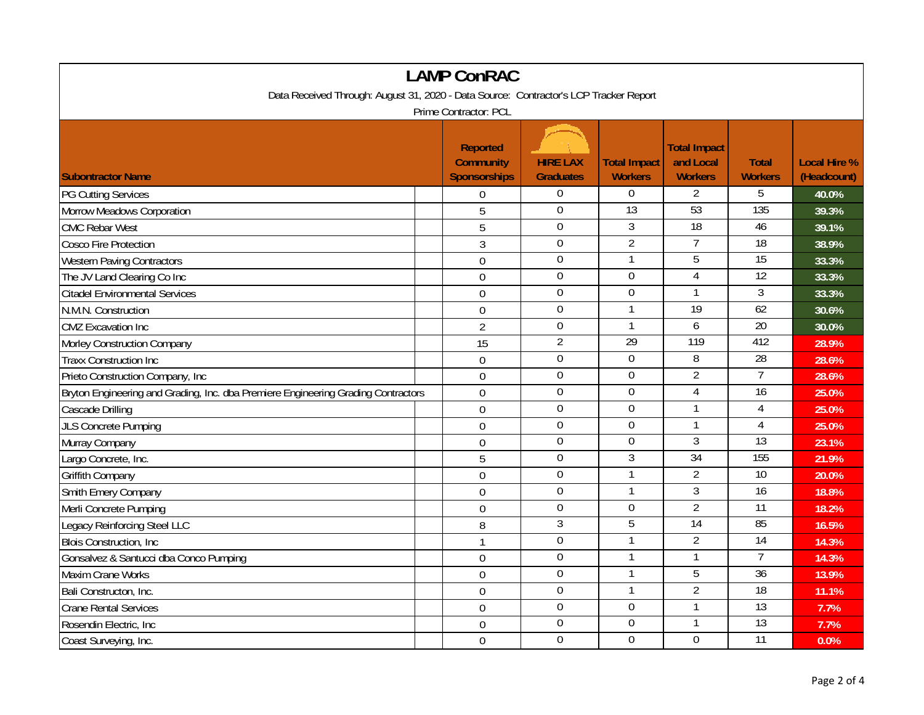| <b>LAMP ConRAC</b>                                                                    |  |                                                            |                                     |                                       |                                                    |                                |                                    |  |
|---------------------------------------------------------------------------------------|--|------------------------------------------------------------|-------------------------------------|---------------------------------------|----------------------------------------------------|--------------------------------|------------------------------------|--|
| Data Received Through: August 31, 2020 - Data Source: Contractor's LCP Tracker Report |  |                                                            |                                     |                                       |                                                    |                                |                                    |  |
| Prime Contractor: PCL                                                                 |  |                                                            |                                     |                                       |                                                    |                                |                                    |  |
| <b>Subontractor Name</b>                                                              |  | <b>Reported</b><br><b>Community</b><br><b>Sponsorships</b> | <b>HIRE LAX</b><br><b>Graduates</b> | <b>Total Impact</b><br><b>Workers</b> | <b>Total Impact</b><br>and Local<br><b>Workers</b> | <b>Total</b><br><b>Workers</b> | <b>Local Hire %</b><br>(Headcount) |  |
| <b>PG Cutting Services</b>                                                            |  | $\boldsymbol{0}$                                           | $\overline{0}$                      | $\Omega$                              | $\overline{2}$                                     | 5                              | 40.0%                              |  |
| Morrow Meadows Corporation                                                            |  | 5                                                          | $\mathbf 0$                         | $\overline{13}$                       | 53                                                 | 135                            | 39.3%                              |  |
| <b>CMC Rebar West</b>                                                                 |  | 5                                                          | $\overline{0}$                      | $\overline{3}$                        | 18                                                 | 46                             | 39.1%                              |  |
| Cosco Fire Protection                                                                 |  | $\mathfrak{Z}$                                             | $\mathbf 0$                         | $\overline{2}$                        | $\overline{7}$                                     | 18                             | 38.9%                              |  |
| <b>Western Paving Contractors</b>                                                     |  | $\mathbf 0$                                                | $\boldsymbol{0}$                    | 1                                     | 5                                                  | $\overline{15}$                | 33.3%                              |  |
| The JV Land Clearing Co Inc                                                           |  | 0                                                          | $\mathbf 0$                         | $\mathbf 0$                           | $\overline{4}$                                     | $\overline{12}$                | 33.3%                              |  |
| <b>Citadel Environmental Services</b>                                                 |  | $\overline{0}$                                             | $\mathbf 0$                         | $\mathbf 0$                           | 1                                                  | 3                              | 33.3%                              |  |
| N.M.N. Construction                                                                   |  | $\mathbf 0$                                                | $\mathbf 0$                         | $\mathbf{1}$                          | $\overline{19}$                                    | 62                             | 30.6%                              |  |
| <b>CMZ</b> Excavation Inc                                                             |  | 2                                                          | $\mathbf 0$                         | $\mathbf{1}$                          | 6                                                  | $\overline{20}$                | 30.0%                              |  |
| Morley Construction Company                                                           |  | 15                                                         | $\overline{2}$                      | 29                                    | 119                                                | 412                            | 28.9%                              |  |
| <b>Traxx Construction Inc</b>                                                         |  | $\mathbf 0$                                                | $\overline{0}$                      | $\overline{0}$                        | 8                                                  | $\overline{28}$                | 28.6%                              |  |
| Prieto Construction Company, Inc                                                      |  | $\mathbf 0$                                                | $\overline{0}$                      | $\overline{0}$                        | $\overline{2}$                                     | $\overline{7}$                 | 28.6%                              |  |
| Bryton Engineering and Grading, Inc. dba Premiere Engineering Grading Contractors     |  | $\mathbf 0$                                                | $\mathbf 0$                         | $\mathbf 0$                           | $\overline{4}$                                     | $\overline{16}$                | 25.0%                              |  |
| Cascade Drilling                                                                      |  | $\boldsymbol{0}$                                           | $\mathbf 0$                         | $\mathbf 0$                           | $\mathbf{1}$                                       | $\overline{4}$                 | 25.0%                              |  |
| JLS Concrete Pumping                                                                  |  | $\mathbf 0$                                                | $\mathbf 0$                         | $\mathbf 0$                           | 1                                                  | $\overline{4}$                 | 25.0%                              |  |
| Murray Company                                                                        |  | $\mathbf 0$                                                | $\boldsymbol{0}$                    | $\boldsymbol{0}$                      | $\overline{3}$                                     | 13                             | 23.1%                              |  |
| Largo Concrete, Inc.                                                                  |  | 5                                                          | $\mathbf 0$                         | 3                                     | 34                                                 | 155                            | 21.9%                              |  |
| <b>Griffith Company</b>                                                               |  | $\mathbf 0$                                                | $\mathbf 0$                         | $\mathbf{1}$                          | $\overline{2}$                                     | $\overline{10}$                | 20.0%                              |  |
| Smith Emery Company                                                                   |  | $\mathbf 0$                                                | $\boldsymbol{0}$                    | $\mathbf{1}$                          | $\mathfrak{Z}$                                     | $\overline{16}$                | 18.8%                              |  |
| Merli Concrete Pumping                                                                |  | $\overline{0}$                                             | $\overline{0}$                      | $\overline{0}$                        | $\overline{2}$                                     | 11                             | 18.2%                              |  |
| Legacy Reinforcing Steel LLC                                                          |  | 8                                                          | $\mathfrak{Z}$                      | 5                                     | 14                                                 | 85                             | 16.5%                              |  |
| <b>Blois Construction, Inc.</b>                                                       |  | 1                                                          | $\overline{0}$                      | $\mathbf{1}$                          | $\overline{2}$                                     | $\overline{14}$                | 14.3%                              |  |
| Gonsalvez & Santucci dba Conco Pumping                                                |  | $\mathbf 0$                                                | $\overline{0}$                      | -1                                    | $\mathbf{1}$                                       | $\overline{7}$                 | 14.3%                              |  |
| Maxim Crane Works                                                                     |  | $\overline{0}$                                             | $\mathbf 0$                         |                                       | 5                                                  | 36                             | 13.9%                              |  |
| Bali Constructon, Inc.                                                                |  | $\mathbf 0$                                                | $\mathbf 0$                         |                                       | $\overline{2}$                                     | 18                             | 11.1%                              |  |
| <b>Crane Rental Services</b>                                                          |  | $\mathbf 0$                                                | $\boldsymbol{0}$                    | $\mathbf 0$                           | 1                                                  | $\overline{13}$                | 7.7%                               |  |
| Rosendin Electric, Inc.                                                               |  | $\overline{0}$                                             | $\overline{0}$                      | $\overline{0}$                        | $\mathbf{1}$                                       | $\overline{13}$                | 7.7%                               |  |
| Coast Surveying, Inc.                                                                 |  | $\mathbf 0$                                                | $\mathbf 0$                         | $\overline{0}$                        | $\Omega$                                           | $\overline{11}$                | 0.0%                               |  |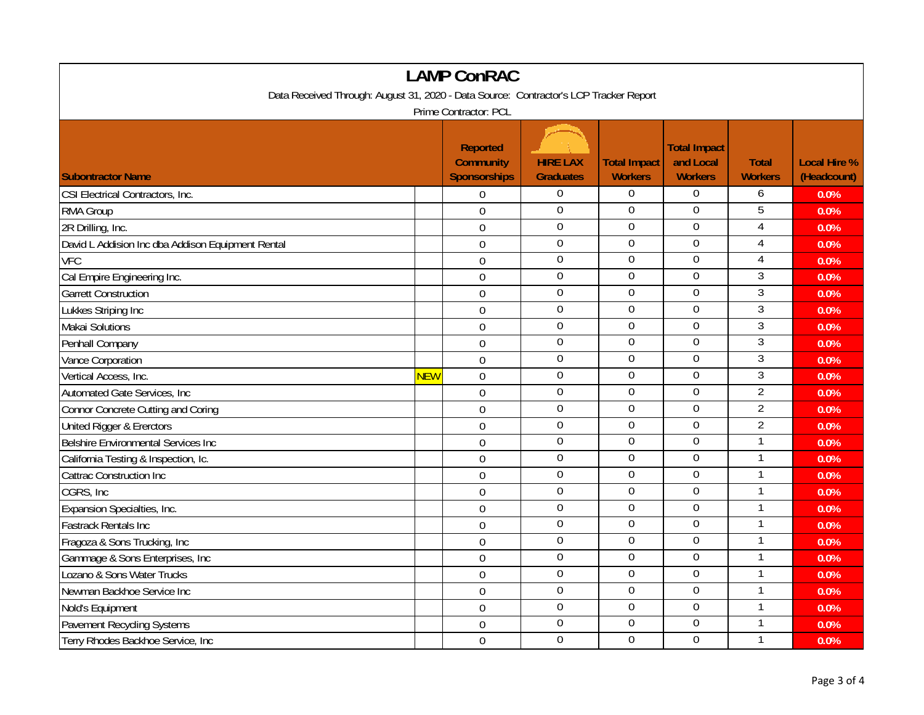| <b>LAMP ConRAC</b>                                                                    |            |                                                            |                                     |                                       |                                                    |                                |                                    |  |
|---------------------------------------------------------------------------------------|------------|------------------------------------------------------------|-------------------------------------|---------------------------------------|----------------------------------------------------|--------------------------------|------------------------------------|--|
| Data Received Through: August 31, 2020 - Data Source: Contractor's LCP Tracker Report |            |                                                            |                                     |                                       |                                                    |                                |                                    |  |
| Prime Contractor: PCL                                                                 |            |                                                            |                                     |                                       |                                                    |                                |                                    |  |
| <b>Subontractor Name</b>                                                              |            | <b>Reported</b><br><b>Community</b><br><b>Sponsorships</b> | <b>HIRE LAX</b><br><b>Graduates</b> | <b>Total Impact</b><br><b>Workers</b> | <b>Total Impact</b><br>and Local<br><b>Workers</b> | <b>Total</b><br><b>Workers</b> | <b>Local Hire %</b><br>(Headcount) |  |
| CSI Electrical Contractors, Inc.                                                      |            | $\boldsymbol{0}$                                           | $\overline{0}$                      | $\overline{0}$                        | 0                                                  | 6                              | 0.0%                               |  |
| RMA Group                                                                             |            | $\mathbf 0$                                                | $\mathbf{0}$                        | $\mathbf 0$                           | $\mathbf 0$                                        | 5                              | 0.0%                               |  |
| 2R Drilling, Inc.                                                                     |            | $\mathbf 0$                                                | $\overline{0}$                      | $\overline{0}$                        | $\overline{0}$                                     | $\overline{4}$                 | 0.0%                               |  |
| David L Addision Inc dba Addison Equipment Rental                                     |            | $\mathbf 0$                                                | $\mathbf 0$                         | $\mathbf 0$                           | $\mathbf 0$                                        | 4                              | 0.0%                               |  |
| <b>VFC</b>                                                                            |            | $\mathbf 0$                                                | $\boldsymbol{0}$                    | $\boldsymbol{0}$                      | $\boldsymbol{0}$                                   | 4                              | 0.0%                               |  |
| Cal Empire Engineering Inc.                                                           |            | $\mathbf 0$                                                | $\mathbf 0$                         | $\mathbf 0$                           | $\mathbf 0$                                        | 3                              | 0.0%                               |  |
| <b>Garrett Construction</b>                                                           |            | $\overline{0}$                                             | $\mathbf 0$                         | $\mathbf 0$                           | $\overline{0}$                                     | 3                              | 0.0%                               |  |
| Lukkes Striping Inc                                                                   |            | $\mathbf 0$                                                | $\mathbf 0$                         | $\mathbf 0$                           | $\mathbf 0$                                        | 3                              | 0.0%                               |  |
| Makai Solutions                                                                       |            | 0                                                          | $\mathbf 0$                         | $\mathbf 0$                           | $\mathbf 0$                                        | $\mathfrak{Z}$                 | 0.0%                               |  |
| Penhall Company                                                                       |            | $\overline{0}$                                             | $\overline{0}$                      | $\mathbf 0$                           | $\mathbf 0$                                        | $\overline{3}$                 | 0.0%                               |  |
| Vance Corporation                                                                     |            | $\mathbf 0$                                                | $\mathbf 0$                         | $\overline{0}$                        | 0                                                  | 3                              | 0.0%                               |  |
| Vertical Access, Inc.                                                                 | <b>NEW</b> | $\mathbf 0$                                                | $\boldsymbol{0}$                    | $\overline{0}$                        | $\overline{0}$                                     | $\overline{3}$                 | 0.0%                               |  |
| Automated Gate Services, Inc.                                                         |            | $\mathbf 0$                                                | $\boldsymbol{0}$                    | $\mathbf 0$                           | $\mathbf 0$                                        | $\overline{2}$                 | 0.0%                               |  |
| <b>Connor Concrete Cutting and Coring</b>                                             |            | $\boldsymbol{0}$                                           | $\mathbf 0$                         | $\mathbf 0$                           | 0                                                  | $\overline{2}$                 | 0.0%                               |  |
| United Rigger & Ererctors                                                             |            | $\mathbf{0}$                                               | $\mathbf 0$                         | $\mathbf 0$                           | $\mathbf 0$                                        | $\overline{2}$                 | 0.0%                               |  |
| <b>Belshire Environmental Services Inc</b>                                            |            | $\mathbf 0$                                                | $\boldsymbol{0}$                    | $\boldsymbol{0}$                      | $\boldsymbol{0}$                                   | $\mathbf{1}$                   | 0.0%                               |  |
| California Testing & Inspection, Ic.                                                  |            | $\mathbf 0$                                                | $\mathbf 0$                         | $\mathbf 0$                           | 0                                                  | 1                              | 0.0%                               |  |
| <b>Cattrac Construction Inc</b>                                                       |            | $\mathbf 0$                                                | $\mathbf 0$                         | $\mathbf 0$                           | $\mathbf 0$                                        | 1                              | 0.0%                               |  |
| CGRS, Inc                                                                             |            | $\mathbf 0$                                                | $\boldsymbol{0}$                    | $\boldsymbol{0}$                      | $\boldsymbol{0}$                                   | $\mathbf{1}$                   | 0.0%                               |  |
| Expansion Specialties, Inc.                                                           |            | $\overline{0}$                                             | $\overline{0}$                      | $\overline{0}$                        | $\overline{0}$                                     |                                | 0.0%                               |  |
| <b>Fastrack Rentals Inc</b>                                                           |            | $\overline{0}$                                             | $\mathbf 0$                         | $\mathbf 0$                           | $\mathbf 0$                                        | $\mathbf{1}$                   | 0.0%                               |  |
| Fragoza & Sons Trucking, Inc                                                          |            | $\mathbf{0}$                                               | $\overline{0}$                      | $\overline{0}$                        | 0                                                  | $\mathbf{1}$                   | 0.0%                               |  |
| Gammage & Sons Enterprises, Inc                                                       |            | $\mathbf 0$                                                | $\overline{0}$                      | $\mathbf 0$                           | 0                                                  | 1                              | 0.0%                               |  |
| Lozano & Sons Water Trucks                                                            |            | $\overline{0}$                                             | $\mathbf 0$                         | $\mathbf 0$                           | $\mathbf 0$                                        | 1                              | 0.0%                               |  |
| Newman Backhoe Service Inc                                                            |            | $\mathbf 0$                                                | $\mathbf 0$                         | $\mathbf 0$                           | $\mathbf 0$                                        |                                | 0.0%                               |  |
| Nold's Equipment                                                                      |            | $\mathbf 0$                                                | $\boldsymbol{0}$                    | $\boldsymbol{0}$                      | $\boldsymbol{0}$                                   | $\mathbf{1}$                   | 0.0%                               |  |
| <b>Pavement Recycling Systems</b>                                                     |            | $\overline{0}$                                             | $\boldsymbol{0}$                    | 0                                     | $\boldsymbol{0}$                                   | 1                              | 0.0%                               |  |
| Terry Rhodes Backhoe Service, Inc                                                     |            | $\boldsymbol{0}$                                           | $\mathbf 0$                         | $\theta$                              | 0                                                  | 1                              | 0.0%                               |  |